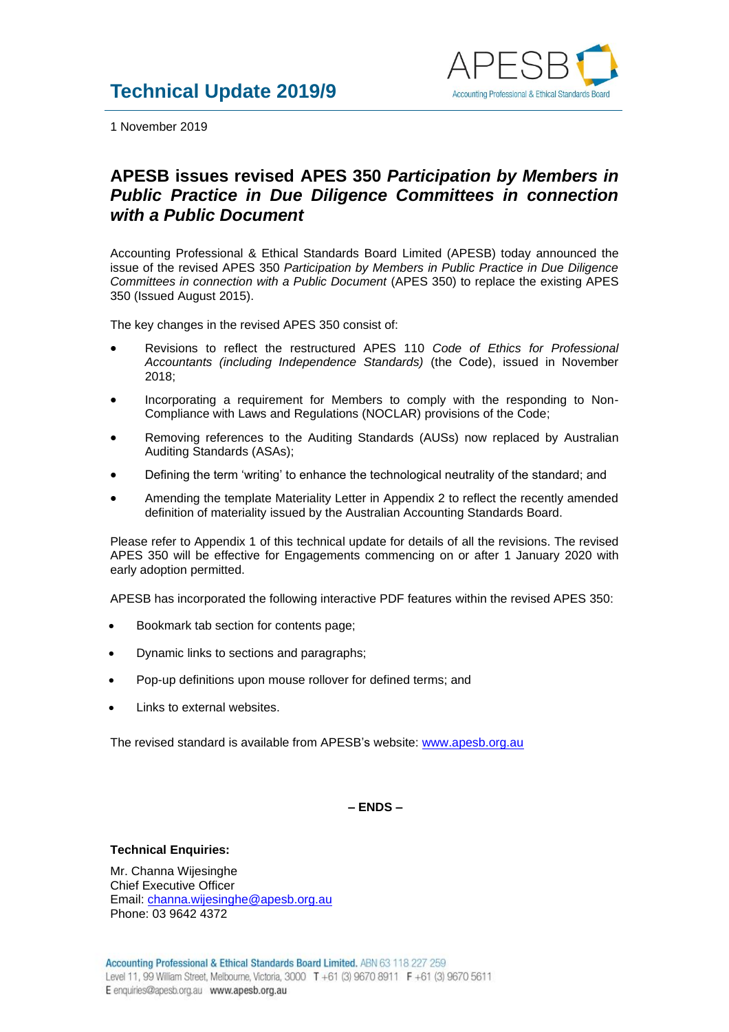

1 November 2019

## **APESB issues revised APES 350** *Participation by Members in Public Practice in Due Diligence Committees in connection with a Public Document*

Accounting Professional & Ethical Standards Board Limited (APESB) today announced the issue of the revised APES 350 *Participation by Members in Public Practice in Due Diligence Committees in connection with a Public Document* (APES 350) to replace the existing APES 350 (Issued August 2015).

The key changes in the revised APES 350 consist of:

- Revisions to reflect the restructured APES 110 *Code of Ethics for Professional Accountants (including Independence Standards)* (the Code), issued in November 2018;
- Incorporating a requirement for Members to comply with the responding to Non-Compliance with Laws and Regulations (NOCLAR) provisions of the Code;
- Removing references to the Auditing Standards (AUSs) now replaced by Australian Auditing Standards (ASAs);
- Defining the term 'writing' to enhance the technological neutrality of the standard; and
- Amending the template Materiality Letter in Appendix 2 to reflect the recently amended definition of materiality issued by the Australian Accounting Standards Board.

Please refer to Appendix 1 of this technical update for details of all the revisions. The revised APES 350 will be effective for Engagements commencing on or after 1 January 2020 with early adoption permitted.

APESB has incorporated the following interactive PDF features within the revised APES 350:

- Bookmark tab section for contents page;
- Dynamic links to sections and paragraphs;
- Pop-up definitions upon mouse rollover for defined terms; and
- Links to external websites.

The revised standard is available from APESB's website: [www.apesb.org.au](http://www.apesb.org.au/)

**– ENDS –**

## **Technical Enquiries:**

Mr. Channa Wijesinghe Chief Executive Officer Email: [channa.wijesinghe@apesb.org.au](mailto:channa.wijesinghe@apesb.org.au) Phone: 03 9642 4372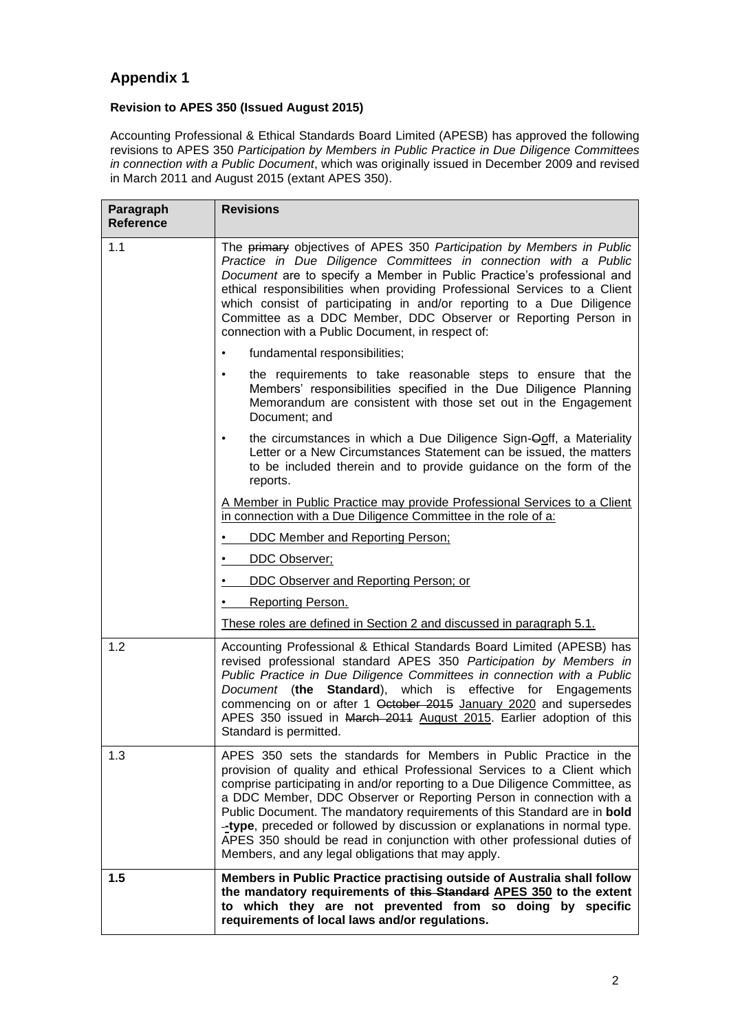## **Appendix 1**

## **Revision to APES 350 (Issued August 2015)**

Accounting Professional & Ethical Standards Board Limited (APESB) has approved the following revisions to APES 350 *Participation by Members in Public Practice in Due Diligence Committees in connection with a Public Document*, which was originally issued in December 2009 and revised in March 2011 and August 2015 (extant APES 350).

| Paragraph<br><b>Reference</b> | <b>Revisions</b>                                                                                                                                                                                                                                                                                                                                                                                                                                                                                                                                                                               |
|-------------------------------|------------------------------------------------------------------------------------------------------------------------------------------------------------------------------------------------------------------------------------------------------------------------------------------------------------------------------------------------------------------------------------------------------------------------------------------------------------------------------------------------------------------------------------------------------------------------------------------------|
| 1.1                           | The primary objectives of APES 350 Participation by Members in Public<br>Practice in Due Diligence Committees in connection with a Public<br>Document are to specify a Member in Public Practice's professional and<br>ethical responsibilities when providing Professional Services to a Client<br>which consist of participating in and/or reporting to a Due Diligence<br>Committee as a DDC Member, DDC Observer or Reporting Person in<br>connection with a Public Document, in respect of:                                                                                               |
|                               | fundamental responsibilities;                                                                                                                                                                                                                                                                                                                                                                                                                                                                                                                                                                  |
|                               | the requirements to take reasonable steps to ensure that the<br>Members' responsibilities specified in the Due Diligence Planning<br>Memorandum are consistent with those set out in the Engagement<br>Document; and                                                                                                                                                                                                                                                                                                                                                                           |
|                               | the circumstances in which a Due Diligence Sign-Ooff, a Materiality<br>$\bullet$<br>Letter or a New Circumstances Statement can be issued, the matters<br>to be included therein and to provide guidance on the form of the<br>reports.                                                                                                                                                                                                                                                                                                                                                        |
|                               | A Member in Public Practice may provide Professional Services to a Client<br>in connection with a Due Diligence Committee in the role of a:                                                                                                                                                                                                                                                                                                                                                                                                                                                    |
|                               | DDC Member and Reporting Person;                                                                                                                                                                                                                                                                                                                                                                                                                                                                                                                                                               |
|                               | DDC Observer;                                                                                                                                                                                                                                                                                                                                                                                                                                                                                                                                                                                  |
|                               | DDC Observer and Reporting Person; or                                                                                                                                                                                                                                                                                                                                                                                                                                                                                                                                                          |
|                               | Reporting Person.                                                                                                                                                                                                                                                                                                                                                                                                                                                                                                                                                                              |
|                               | These roles are defined in Section 2 and discussed in paragraph 5.1.                                                                                                                                                                                                                                                                                                                                                                                                                                                                                                                           |
| 1.2                           | Accounting Professional & Ethical Standards Board Limited (APESB) has<br>revised professional standard APES 350 Participation by Members in<br>Public Practice in Due Diligence Committees in connection with a Public<br>Document (the Standard), which is effective for Engagements<br>commencing on or after 1 October 2015 January 2020 and supersedes<br>APES 350 issued in March 2011 August 2015. Earlier adoption of this<br>Standard is permitted.                                                                                                                                    |
| 1.3                           | APES 350 sets the standards for Members in Public Practice in the<br>provision of quality and ethical Professional Services to a Client which<br>comprise participating in and/or reporting to a Due Diligence Committee, as<br>a DDC Member, DDC Observer or Reporting Person in connection with a<br>Public Document. The mandatory requirements of this Standard are in bold<br>-type, preceded or followed by discussion or explanations in normal type.<br>APES 350 should be read in conjunction with other professional duties of<br>Members, and any legal obligations that may apply. |
| 1.5                           | Members in Public Practice practising outside of Australia shall follow<br>the mandatory requirements of this Standard APES 350 to the extent<br>to which they are not prevented from so doing by specific<br>requirements of local laws and/or regulations.                                                                                                                                                                                                                                                                                                                                   |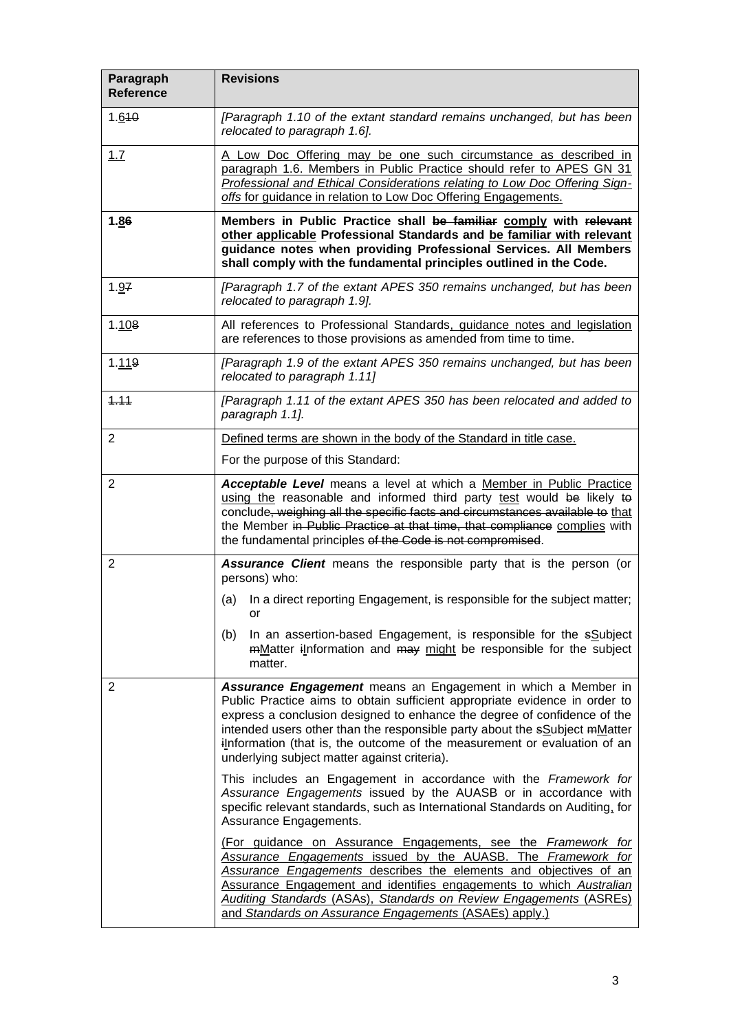| Paragraph<br><b>Reference</b> | <b>Revisions</b>                                                                                                                                                                                                                                                                                                                                                                                                                          |
|-------------------------------|-------------------------------------------------------------------------------------------------------------------------------------------------------------------------------------------------------------------------------------------------------------------------------------------------------------------------------------------------------------------------------------------------------------------------------------------|
| 1.640                         | [Paragraph 1.10 of the extant standard remains unchanged, but has been<br>relocated to paragraph 1.6].                                                                                                                                                                                                                                                                                                                                    |
| 1.7                           | A Low Doc Offering may be one such circumstance as described in<br>paragraph 1.6. Members in Public Practice should refer to APES GN 31<br>Professional and Ethical Considerations relating to Low Doc Offering Sign-<br>offs for guidance in relation to Low Doc Offering Engagements.                                                                                                                                                   |
| 1.86                          | Members in Public Practice shall be familiar comply with relevant<br>other applicable Professional Standards and be familiar with relevant<br>guidance notes when providing Professional Services. All Members<br>shall comply with the fundamental principles outlined in the Code.                                                                                                                                                      |
| 1.97                          | [Paragraph 1.7 of the extant APES 350 remains unchanged, but has been<br>relocated to paragraph 1.9].                                                                                                                                                                                                                                                                                                                                     |
| 1.108                         | All references to Professional Standards, guidance notes and legislation<br>are references to those provisions as amended from time to time.                                                                                                                                                                                                                                                                                              |
| 1.119                         | [Paragraph 1.9 of the extant APES 350 remains unchanged, but has been<br>relocated to paragraph 1.11]                                                                                                                                                                                                                                                                                                                                     |
| 1.11                          | [Paragraph 1.11 of the extant APES 350 has been relocated and added to<br>paragraph 1.1].                                                                                                                                                                                                                                                                                                                                                 |
| $\overline{2}$                | Defined terms are shown in the body of the Standard in title case.<br>For the purpose of this Standard:                                                                                                                                                                                                                                                                                                                                   |
| $\overline{2}$                | Acceptable Level means a level at which a Member in Public Practice<br>using the reasonable and informed third party test would be likely to<br>conclude, weighing all the specific facts and circumstances available to that<br>the Member in Public Practice at that time, that compliance complies with<br>the fundamental principles of the Code is not compromised.                                                                  |
| $\overline{2}$                | <b>Assurance Client</b> means the responsible party that is the person (or<br>persons) who:                                                                                                                                                                                                                                                                                                                                               |
|                               | In a direct reporting Engagement, is responsible for the subject matter;<br>(a)<br>or<br>In an assertion-based Engagement, is responsible for the sSubject<br>(b)<br>mMatter information and may might be responsible for the subject<br>matter.                                                                                                                                                                                          |
| 2                             | <b>Assurance Engagement</b> means an Engagement in which a Member in<br>Public Practice aims to obtain sufficient appropriate evidence in order to<br>express a conclusion designed to enhance the degree of confidence of the<br>intended users other than the responsible party about the sSubject mMatter<br>ilnformation (that is, the outcome of the measurement or evaluation of an<br>underlying subject matter against criteria). |
|                               | This includes an Engagement in accordance with the Framework for<br>Assurance Engagements issued by the AUASB or in accordance with<br>specific relevant standards, such as International Standards on Auditing, for<br>Assurance Engagements.                                                                                                                                                                                            |
|                               | (For guidance on Assurance Engagements, see the Framework for<br>Assurance Engagements issued by the AUASB. The Framework for<br>Assurance Engagements describes the elements and objectives of an<br>Assurance Engagement and identifies engagements to which Australian<br><b>Auditing Standards (ASAs), Standards on Review Engagements (ASREs)</b><br>and Standards on Assurance Engagements (ASAEs) apply.)                          |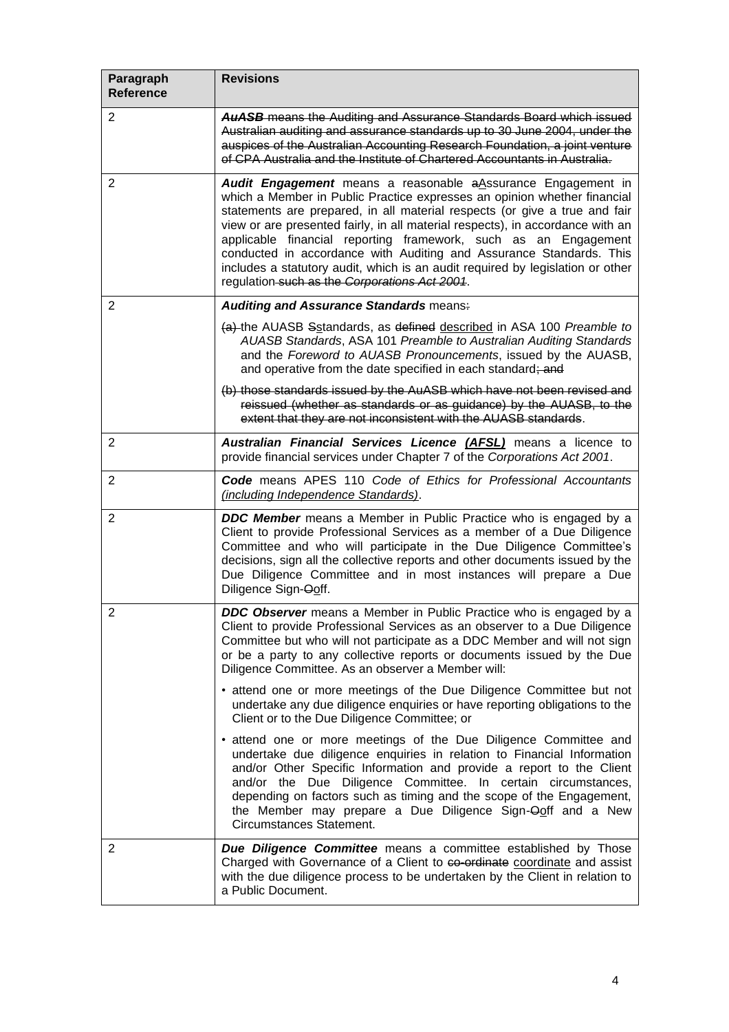| Paragraph<br><b>Reference</b> | <b>Revisions</b>                                                                                                                                                                                                                                                                                                                                                                                                                                                                                                                                                                             |
|-------------------------------|----------------------------------------------------------------------------------------------------------------------------------------------------------------------------------------------------------------------------------------------------------------------------------------------------------------------------------------------------------------------------------------------------------------------------------------------------------------------------------------------------------------------------------------------------------------------------------------------|
| $\overline{2}$                | <b>AuASB</b> means the Auditing and Assurance Standards Board which issued<br>Australian auditing and assurance standards up to 30 June 2004, under the<br>auspices of the Australian Accounting Research Foundation, a joint venture<br>of CPA Australia and the Institute of Chartered Accountants in Australia.                                                                                                                                                                                                                                                                           |
| 2                             | <b>Audit Engagement</b> means a reasonable aAssurance Engagement in<br>which a Member in Public Practice expresses an opinion whether financial<br>statements are prepared, in all material respects (or give a true and fair<br>view or are presented fairly, in all material respects), in accordance with an<br>applicable financial reporting framework, such as an Engagement<br>conducted in accordance with Auditing and Assurance Standards. This<br>includes a statutory audit, which is an audit required by legislation or other<br>regulation such as the Corporations Act 2001. |
| 2                             | <b>Auditing and Assurance Standards means:</b>                                                                                                                                                                                                                                                                                                                                                                                                                                                                                                                                               |
|                               | (a) the AUASB Sstandards, as defined described in ASA 100 Preamble to<br>AUASB Standards, ASA 101 Preamble to Australian Auditing Standards<br>and the Foreword to AUASB Pronouncements, issued by the AUASB,<br>and operative from the date specified in each standard; and                                                                                                                                                                                                                                                                                                                 |
|                               | (b) those standards issued by the AuASB which have not been revised and<br>reissued (whether as standards or as guidance) by the AUASB, to the<br>extent that they are not inconsistent with the AUASB standards.                                                                                                                                                                                                                                                                                                                                                                            |
| $\overline{2}$                | Australian Financial Services Licence (AFSL) means a licence to<br>provide financial services under Chapter 7 of the Corporations Act 2001.                                                                                                                                                                                                                                                                                                                                                                                                                                                  |
| 2                             | <b>Code</b> means APES 110 Code of Ethics for Professional Accountants<br>(including Independence Standards).                                                                                                                                                                                                                                                                                                                                                                                                                                                                                |
| 2                             | <b>DDC Member</b> means a Member in Public Practice who is engaged by a<br>Client to provide Professional Services as a member of a Due Diligence<br>Committee and who will participate in the Due Diligence Committee's<br>decisions, sign all the collective reports and other documents issued by the<br>Due Diligence Committee and in most instances will prepare a Due<br>Diligence Sign-Ooff.                                                                                                                                                                                         |
| $\overline{c}$                | <b>DDC Observer</b> means a Member in Public Practice who is engaged by a<br>Client to provide Professional Services as an observer to a Due Diligence<br>Committee but who will not participate as a DDC Member and will not sign<br>or be a party to any collective reports or documents issued by the Due<br>Diligence Committee. As an observer a Member will:                                                                                                                                                                                                                           |
|                               | • attend one or more meetings of the Due Diligence Committee but not<br>undertake any due diligence enquiries or have reporting obligations to the<br>Client or to the Due Diligence Committee; or                                                                                                                                                                                                                                                                                                                                                                                           |
|                               | • attend one or more meetings of the Due Diligence Committee and<br>undertake due diligence enquiries in relation to Financial Information<br>and/or Other Specific Information and provide a report to the Client<br>and/or the Due Diligence Committee. In certain circumstances,<br>depending on factors such as timing and the scope of the Engagement,<br>the Member may prepare a Due Diligence Sign-Ooff and a New<br>Circumstances Statement.                                                                                                                                        |
| 2                             | <b>Due Diligence Committee</b> means a committee established by Those<br>Charged with Governance of a Client to co-ordinate coordinate and assist<br>with the due diligence process to be undertaken by the Client in relation to<br>a Public Document.                                                                                                                                                                                                                                                                                                                                      |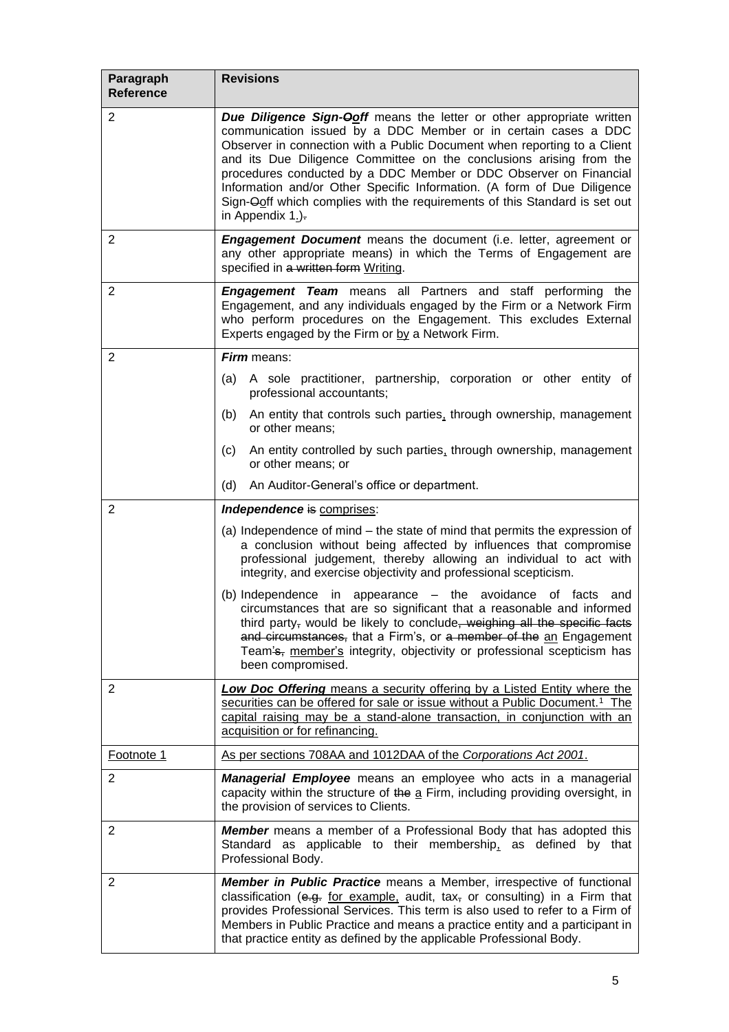| Paragraph<br><b>Reference</b> | <b>Revisions</b>                                                                                                                                                                                                                                                                                                                                                                                                                                                                                                                             |
|-------------------------------|----------------------------------------------------------------------------------------------------------------------------------------------------------------------------------------------------------------------------------------------------------------------------------------------------------------------------------------------------------------------------------------------------------------------------------------------------------------------------------------------------------------------------------------------|
| $\overline{2}$                | Due Diligence Sign-Ooff means the letter or other appropriate written<br>communication issued by a DDC Member or in certain cases a DDC<br>Observer in connection with a Public Document when reporting to a Client<br>and its Due Diligence Committee on the conclusions arising from the<br>procedures conducted by a DDC Member or DDC Observer on Financial<br>Information and/or Other Specific Information. (A form of Due Diligence<br>Sign-Ooff which complies with the requirements of this Standard is set out<br>in Appendix 1.). |
| 2                             | Engagement Document means the document (i.e. letter, agreement or<br>any other appropriate means) in which the Terms of Engagement are<br>specified in a written form Writing.                                                                                                                                                                                                                                                                                                                                                               |
| 2                             | <b>Engagement Team</b> means all Partners and staff performing the<br>Engagement, and any individuals engaged by the Firm or a Network Firm<br>who perform procedures on the Engagement. This excludes External<br>Experts engaged by the Firm or by a Network Firm.                                                                                                                                                                                                                                                                         |
| 2                             | <b>Firm</b> means:                                                                                                                                                                                                                                                                                                                                                                                                                                                                                                                           |
|                               | A sole practitioner, partnership, corporation or other entity of<br>(a)<br>professional accountants;                                                                                                                                                                                                                                                                                                                                                                                                                                         |
|                               | An entity that controls such parties, through ownership, management<br>(b)<br>or other means;                                                                                                                                                                                                                                                                                                                                                                                                                                                |
|                               | An entity controlled by such parties, through ownership, management<br>(c)<br>or other means; or                                                                                                                                                                                                                                                                                                                                                                                                                                             |
|                               | (d)<br>An Auditor-General's office or department.                                                                                                                                                                                                                                                                                                                                                                                                                                                                                            |
| 2                             | Independence is comprises:                                                                                                                                                                                                                                                                                                                                                                                                                                                                                                                   |
|                               | (a) Independence of mind – the state of mind that permits the expression of<br>a conclusion without being affected by influences that compromise<br>professional judgement, thereby allowing an individual to act with<br>integrity, and exercise objectivity and professional scepticism.                                                                                                                                                                                                                                                   |
|                               | (b) Independence in appearance – the avoidance of facts and<br>circumstances that are so significant that a reasonable and informed<br>third party, would be likely to conclude, weighing all the specific facts<br>and circumstances, that a Firm's, or a member of the an Engagement<br>Team's, member's integrity, objectivity or professional scepticism has<br>been compromised.                                                                                                                                                        |
| 2                             | <b>Low Doc Offering</b> means a security offering by a Listed Entity where the<br>securities can be offered for sale or issue without a Public Document. <sup>1</sup> The<br>capital raising may be a stand-alone transaction, in conjunction with an<br>acquisition or for refinancing.                                                                                                                                                                                                                                                     |
| Footnote 1                    | As per sections 708AA and 1012DAA of the Corporations Act 2001.                                                                                                                                                                                                                                                                                                                                                                                                                                                                              |
| $\overline{2}$                | Managerial Employee means an employee who acts in a managerial<br>capacity within the structure of the a Firm, including providing oversight, in<br>the provision of services to Clients.                                                                                                                                                                                                                                                                                                                                                    |
| 2                             | <b>Member</b> means a member of a Professional Body that has adopted this<br>Standard as applicable to their membership, as defined by that<br>Professional Body.                                                                                                                                                                                                                                                                                                                                                                            |
| 2                             | Member in Public Practice means a Member, irrespective of functional<br>classification (e.g. for example, audit, tax, or consulting) in a Firm that<br>provides Professional Services. This term is also used to refer to a Firm of<br>Members in Public Practice and means a practice entity and a participant in<br>that practice entity as defined by the applicable Professional Body.                                                                                                                                                   |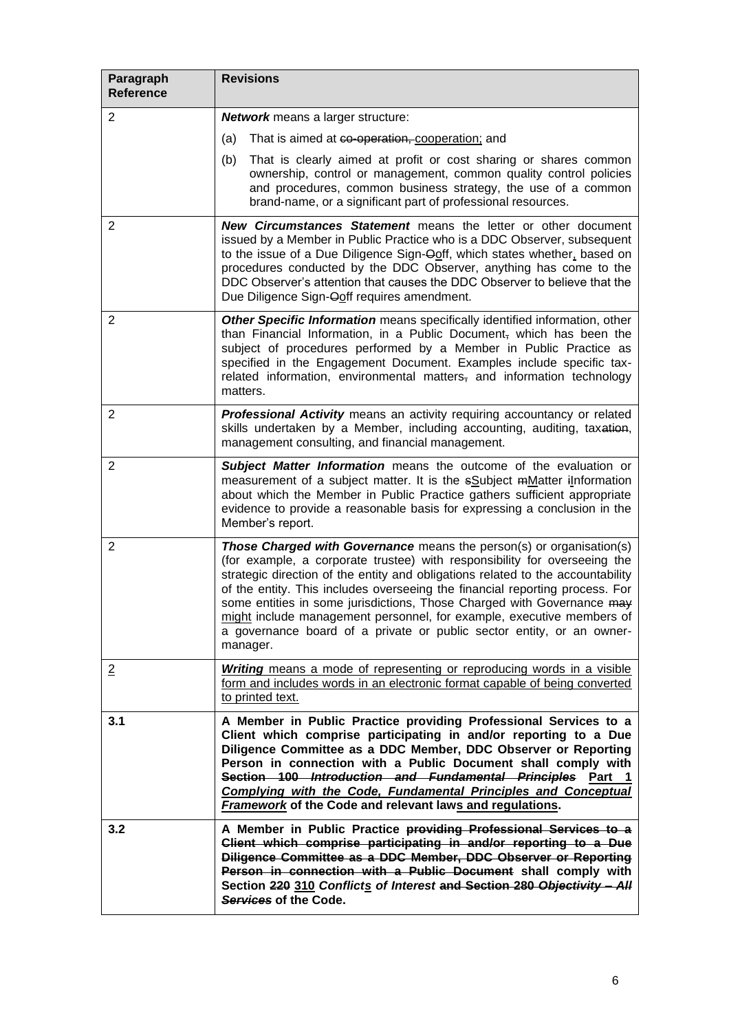| Paragraph<br><b>Reference</b> | <b>Revisions</b>                                                                                                                                                                                                                                                                                                                                                                                                                                                                                                                                                    |
|-------------------------------|---------------------------------------------------------------------------------------------------------------------------------------------------------------------------------------------------------------------------------------------------------------------------------------------------------------------------------------------------------------------------------------------------------------------------------------------------------------------------------------------------------------------------------------------------------------------|
| $\overline{2}$                | <b>Network</b> means a larger structure:                                                                                                                                                                                                                                                                                                                                                                                                                                                                                                                            |
|                               | That is aimed at co-operation, cooperation; and<br>(a)                                                                                                                                                                                                                                                                                                                                                                                                                                                                                                              |
|                               | That is clearly aimed at profit or cost sharing or shares common<br>(b)<br>ownership, control or management, common quality control policies<br>and procedures, common business strategy, the use of a common<br>brand-name, or a significant part of professional resources.                                                                                                                                                                                                                                                                                       |
| $\overline{2}$                | <b>New Circumstances Statement</b> means the letter or other document<br>issued by a Member in Public Practice who is a DDC Observer, subsequent<br>to the issue of a Due Diligence Sign-Ooff, which states whether, based on<br>procedures conducted by the DDC Observer, anything has come to the<br>DDC Observer's attention that causes the DDC Observer to believe that the<br>Due Diligence Sign-Ooff requires amendment.                                                                                                                                     |
| 2                             | Other Specific Information means specifically identified information, other<br>than Financial Information, in a Public Document, which has been the<br>subject of procedures performed by a Member in Public Practice as<br>specified in the Engagement Document. Examples include specific tax-<br>related information, environmental matters, and information technology<br>matters.                                                                                                                                                                              |
| 2                             | <b>Professional Activity</b> means an activity requiring accountancy or related<br>skills undertaken by a Member, including accounting, auditing, taxation,<br>management consulting, and financial management.                                                                                                                                                                                                                                                                                                                                                     |
| 2                             | Subject Matter Information means the outcome of the evaluation or<br>measurement of a subject matter. It is the sSubject mMatter ilnformation<br>about which the Member in Public Practice gathers sufficient appropriate<br>evidence to provide a reasonable basis for expressing a conclusion in the<br>Member's report.                                                                                                                                                                                                                                          |
| 2                             | <b>Those Charged with Governance</b> means the person(s) or organisation(s)<br>(for example, a corporate trustee) with responsibility for overseeing the<br>strategic direction of the entity and obligations related to the accountability<br>of the entity. This includes overseeing the financial reporting process. For<br>some entities in some jurisdictions, Those Charged with Governance may<br>might include management personnel, for example, executive members of<br>a governance board of a private or public sector entity, or an owner-<br>manager. |
| $\overline{2}$                | <b>Writing</b> means a mode of representing or reproducing words in a visible<br>form and includes words in an electronic format capable of being converted<br>to printed text.                                                                                                                                                                                                                                                                                                                                                                                     |
| 3.1                           | A Member in Public Practice providing Professional Services to a<br>Client which comprise participating in and/or reporting to a Due<br>Diligence Committee as a DDC Member, DDC Observer or Reporting<br>Person in connection with a Public Document shall comply with<br>Section 100 Introduction and Fundamental Principles Part 1<br><b>Complying with the Code, Fundamental Principles and Conceptual</b><br>Framework of the Code and relevant laws and regulations.                                                                                          |
| 3.2                           | A Member in Public Practice providing Professional Services to a<br>Client which comprise participating in and/or reporting to a Due<br>Diligence Committee as a DDC Member, DDC Observer or Reporting<br>Person in connection with a Public Document shall comply with<br>Section 220 310 Conflicts of Interest and Section 280 Objectivity - All<br>Services of the Code.                                                                                                                                                                                         |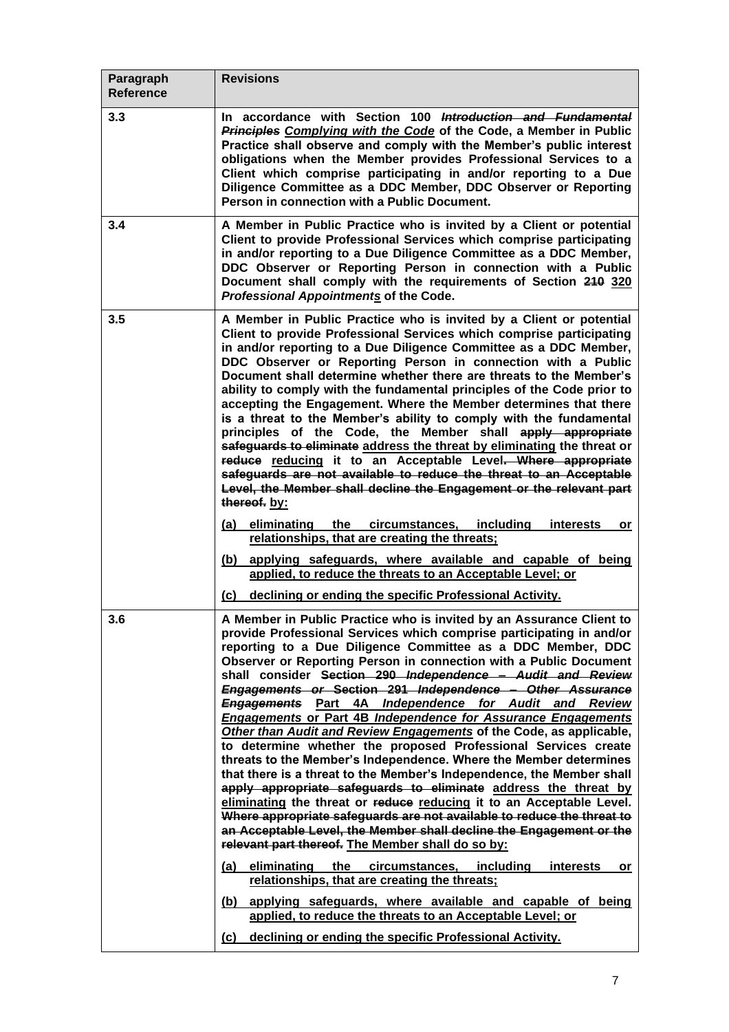| Paragraph<br><b>Reference</b> | <b>Revisions</b>                                                                                                                                                                                                                                                                                                                                                                                                                                                                                                                                                                                                                                                                                                                                                                                                                                                                                                                                                                                                                                                                                                                                                                                                                                                                                                                                                                                                                                                                                                     |
|-------------------------------|----------------------------------------------------------------------------------------------------------------------------------------------------------------------------------------------------------------------------------------------------------------------------------------------------------------------------------------------------------------------------------------------------------------------------------------------------------------------------------------------------------------------------------------------------------------------------------------------------------------------------------------------------------------------------------------------------------------------------------------------------------------------------------------------------------------------------------------------------------------------------------------------------------------------------------------------------------------------------------------------------------------------------------------------------------------------------------------------------------------------------------------------------------------------------------------------------------------------------------------------------------------------------------------------------------------------------------------------------------------------------------------------------------------------------------------------------------------------------------------------------------------------|
| 3.3                           | In accordance with Section 100 <i>Introduction and Fundamental</i><br>Principles Complying with the Code of the Code, a Member in Public<br>Practice shall observe and comply with the Member's public interest<br>obligations when the Member provides Professional Services to a<br>Client which comprise participating in and/or reporting to a Due<br>Diligence Committee as a DDC Member, DDC Observer or Reporting<br>Person in connection with a Public Document.                                                                                                                                                                                                                                                                                                                                                                                                                                                                                                                                                                                                                                                                                                                                                                                                                                                                                                                                                                                                                                             |
| 3.4                           | A Member in Public Practice who is invited by a Client or potential<br>Client to provide Professional Services which comprise participating<br>in and/or reporting to a Due Diligence Committee as a DDC Member,<br>DDC Observer or Reporting Person in connection with a Public<br>Document shall comply with the requirements of Section 210 320<br>Professional Appointments of the Code.                                                                                                                                                                                                                                                                                                                                                                                                                                                                                                                                                                                                                                                                                                                                                                                                                                                                                                                                                                                                                                                                                                                         |
| 3.5                           | A Member in Public Practice who is invited by a Client or potential<br>Client to provide Professional Services which comprise participating<br>in and/or reporting to a Due Diligence Committee as a DDC Member,<br>DDC Observer or Reporting Person in connection with a Public<br>Document shall determine whether there are threats to the Member's<br>ability to comply with the fundamental principles of the Code prior to<br>accepting the Engagement. Where the Member determines that there<br>is a threat to the Member's ability to comply with the fundamental<br>principles of the Code, the Member shall apply appropriate<br>safeguards to eliminate address the threat by eliminating the threat or<br>reduce reducing it to an Acceptable Level. Where appropriate<br>safeguards are not available to reduce the threat to an Acceptable<br>Level, the Member shall decline the Engagement or the relevant part<br>thereof. by:<br>(a) eliminating<br>the<br>circumstances,<br>including<br>interests<br>or<br>relationships, that are creating the threats;<br>applying safeguards, where available and capable of being<br>(b)<br>applied, to reduce the threats to an Acceptable Level; or<br>declining or ending the specific Professional Activity.<br>(c)                                                                                                                                                                                                                                     |
| 3.6                           | A Member in Public Practice who is invited by an Assurance Client to<br>provide Professional Services which comprise participating in and/or<br>reporting to a Due Diligence Committee as a DDC Member, DDC<br>Observer or Reporting Person in connection with a Public Document<br>shall consider Section 290 Independence - Audit and Review<br>Engagements or Section 291 Independence - Other Assurance<br><b>Engagements Part 4A Independence for Audit and Review</b><br>Engagements or Part 4B Independence for Assurance Engagements<br>Other than Audit and Review Engagements of the Code, as applicable,<br>to determine whether the proposed Professional Services create<br>threats to the Member's Independence. Where the Member determines<br>that there is a threat to the Member's Independence, the Member shall<br>apply appropriate safeguards to eliminate address the threat by<br>eliminating the threat or reduce reducing it to an Acceptable Level.<br>Where appropriate safeguards are not available to reduce the threat to<br>an Acceptable Level, the Member shall decline the Engagement or the<br>relevant part thereof. The Member shall do so by:<br>eliminating<br>the<br>circumstances,<br>including<br>interests<br>(a)<br>or<br>relationships, that are creating the threats;<br>(b) applying safeguards, where available and capable of being<br>applied, to reduce the threats to an Acceptable Level; or<br>declining or ending the specific Professional Activity.<br>(C) |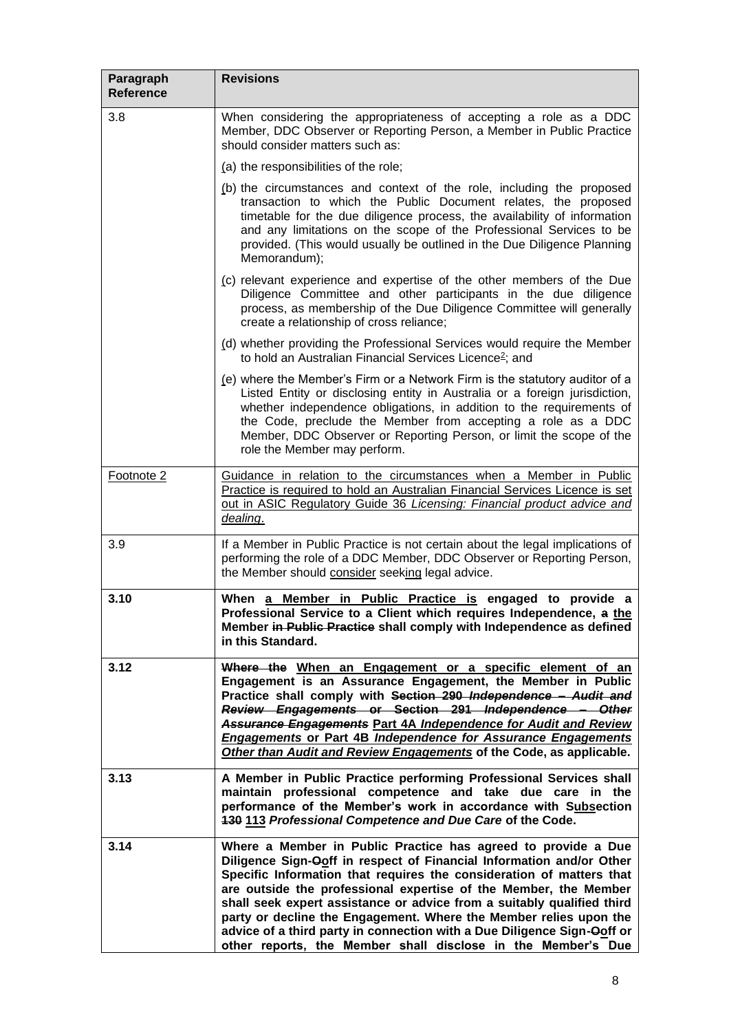| Paragraph<br><b>Reference</b> | <b>Revisions</b>                                                                                                                                                                                                                                                                                                                                                                                                                                                                                                                                                            |
|-------------------------------|-----------------------------------------------------------------------------------------------------------------------------------------------------------------------------------------------------------------------------------------------------------------------------------------------------------------------------------------------------------------------------------------------------------------------------------------------------------------------------------------------------------------------------------------------------------------------------|
| 3.8                           | When considering the appropriateness of accepting a role as a DDC<br>Member, DDC Observer or Reporting Person, a Member in Public Practice<br>should consider matters such as:                                                                                                                                                                                                                                                                                                                                                                                              |
|                               | $(a)$ the responsibilities of the role;                                                                                                                                                                                                                                                                                                                                                                                                                                                                                                                                     |
|                               | (b) the circumstances and context of the role, including the proposed<br>transaction to which the Public Document relates, the proposed<br>timetable for the due diligence process, the availability of information<br>and any limitations on the scope of the Professional Services to be<br>provided. (This would usually be outlined in the Due Diligence Planning<br>Memorandum);                                                                                                                                                                                       |
|                               | (c) relevant experience and expertise of the other members of the Due<br>Diligence Committee and other participants in the due diligence<br>process, as membership of the Due Diligence Committee will generally<br>create a relationship of cross reliance;                                                                                                                                                                                                                                                                                                                |
|                               | (d) whether providing the Professional Services would require the Member<br>to hold an Australian Financial Services Licence <sup>2</sup> ; and                                                                                                                                                                                                                                                                                                                                                                                                                             |
|                               | (e) where the Member's Firm or a Network Firm is the statutory auditor of a<br>Listed Entity or disclosing entity in Australia or a foreign jurisdiction,<br>whether independence obligations, in addition to the requirements of<br>the Code, preclude the Member from accepting a role as a DDC<br>Member, DDC Observer or Reporting Person, or limit the scope of the<br>role the Member may perform.                                                                                                                                                                    |
| Footnote 2                    | Guidance in relation to the circumstances when a Member in Public<br>Practice is required to hold an Australian Financial Services Licence is set<br>out in ASIC Regulatory Guide 36 Licensing: Financial product advice and<br>dealing.                                                                                                                                                                                                                                                                                                                                    |
| 3.9                           | If a Member in Public Practice is not certain about the legal implications of<br>performing the role of a DDC Member, DDC Observer or Reporting Person,<br>the Member should consider seeking legal advice.                                                                                                                                                                                                                                                                                                                                                                 |
| 3.10                          | When a Member in Public Practice is engaged to provide a<br>Professional Service to a Client which requires Independence, a the<br>Member in Public Practice shall comply with Independence as defined<br>in this Standard.                                                                                                                                                                                                                                                                                                                                                 |
| 3.12                          | Where the When an Engagement or a specific element of an<br>Engagement is an Assurance Engagement, the Member in Public<br>Practice shall comply with Section 290 Independence - Audit and<br>Review Engagements or Section 291 Independence -<br><del>-Other</del><br><b>Assurance Engagements Part 4A Independence for Audit and Review</b><br>Engagements or Part 4B Independence for Assurance Engagements<br>Other than Audit and Review Engagements of the Code, as applicable.                                                                                       |
| 3.13                          | A Member in Public Practice performing Professional Services shall<br>maintain professional competence and take due care in the<br>performance of the Member's work in accordance with Subsection<br>130 113 Professional Competence and Due Care of the Code.                                                                                                                                                                                                                                                                                                              |
| 3.14                          | Where a Member in Public Practice has agreed to provide a Due<br>Diligence Sign-Ooff in respect of Financial Information and/or Other<br>Specific Information that requires the consideration of matters that<br>are outside the professional expertise of the Member, the Member<br>shall seek expert assistance or advice from a suitably qualified third<br>party or decline the Engagement. Where the Member relies upon the<br>advice of a third party in connection with a Due Diligence Sign-Ooff or<br>other reports, the Member shall disclose in the Member's Due |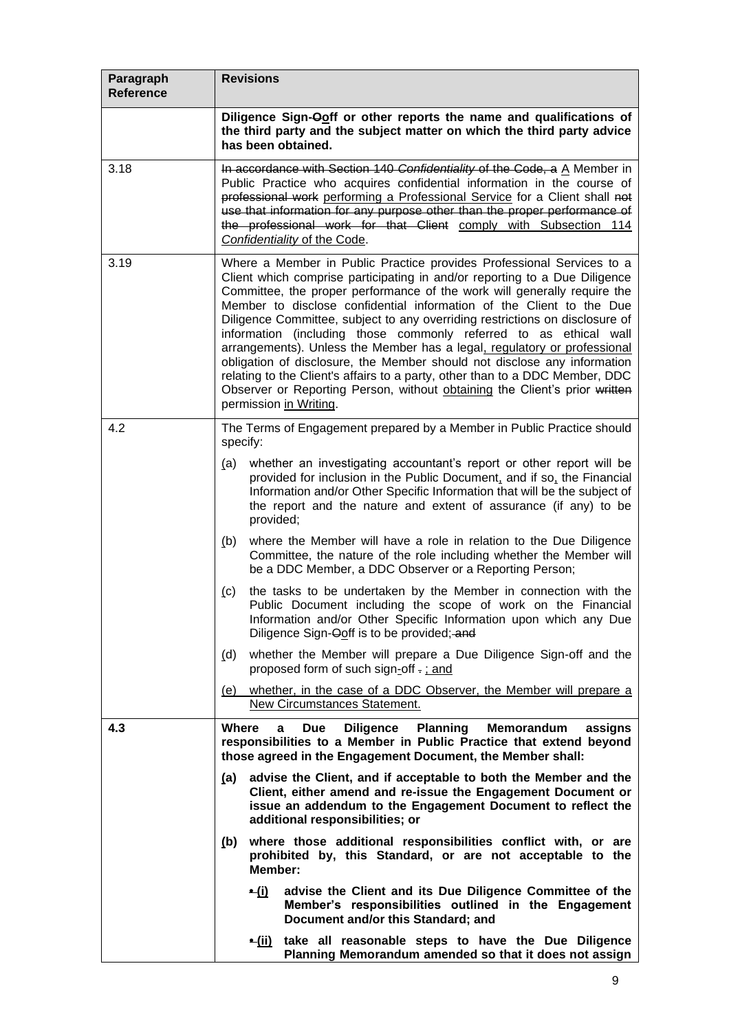| Paragraph<br><b>Reference</b> | <b>Revisions</b>                                                                                                                                                                                                                                                                                                                                                                                                                                                                                                                                                                                                                                                                                                                                                                                             |
|-------------------------------|--------------------------------------------------------------------------------------------------------------------------------------------------------------------------------------------------------------------------------------------------------------------------------------------------------------------------------------------------------------------------------------------------------------------------------------------------------------------------------------------------------------------------------------------------------------------------------------------------------------------------------------------------------------------------------------------------------------------------------------------------------------------------------------------------------------|
|                               | Diligence Sign-Ooff or other reports the name and qualifications of<br>the third party and the subject matter on which the third party advice<br>has been obtained.                                                                                                                                                                                                                                                                                                                                                                                                                                                                                                                                                                                                                                          |
| 3.18                          | In accordance with Section 140 Confidentiality of the Code, a A Member in<br>Public Practice who acquires confidential information in the course of<br>professional work performing a Professional Service for a Client shall not<br>use that information for any purpose other than the proper performance of<br>the professional work for that Client comply with Subsection 114<br>Confidentiality of the Code.                                                                                                                                                                                                                                                                                                                                                                                           |
| 3.19                          | Where a Member in Public Practice provides Professional Services to a<br>Client which comprise participating in and/or reporting to a Due Diligence<br>Committee, the proper performance of the work will generally require the<br>Member to disclose confidential information of the Client to the Due<br>Diligence Committee, subject to any overriding restrictions on disclosure of<br>information (including those commonly referred to as ethical wall<br>arrangements). Unless the Member has a legal, regulatory or professional<br>obligation of disclosure, the Member should not disclose any information<br>relating to the Client's affairs to a party, other than to a DDC Member, DDC<br>Observer or Reporting Person, without obtaining the Client's prior written<br>permission in Writing. |
| 4.2                           | The Terms of Engagement prepared by a Member in Public Practice should<br>specify:                                                                                                                                                                                                                                                                                                                                                                                                                                                                                                                                                                                                                                                                                                                           |
|                               | whether an investigating accountant's report or other report will be<br>(a)<br>provided for inclusion in the Public Document, and if so, the Financial<br>Information and/or Other Specific Information that will be the subject of<br>the report and the nature and extent of assurance (if any) to be<br>provided;                                                                                                                                                                                                                                                                                                                                                                                                                                                                                         |
|                               | where the Member will have a role in relation to the Due Diligence<br>(b)<br>Committee, the nature of the role including whether the Member will<br>be a DDC Member, a DDC Observer or a Reporting Person;                                                                                                                                                                                                                                                                                                                                                                                                                                                                                                                                                                                                   |
|                               | the tasks to be undertaken by the Member in connection with the<br>(c)<br>Public Document including the scope of work on the Financial<br>Information and/or Other Specific Information upon which any Due<br>Diligence Sign-Ooff is to be provided; and                                                                                                                                                                                                                                                                                                                                                                                                                                                                                                                                                     |
|                               | (d)<br>whether the Member will prepare a Due Diligence Sign-off and the<br>proposed form of such sign-off -: and                                                                                                                                                                                                                                                                                                                                                                                                                                                                                                                                                                                                                                                                                             |
|                               | (e) whether, in the case of a DDC Observer, the Member will prepare a<br>New Circumstances Statement.                                                                                                                                                                                                                                                                                                                                                                                                                                                                                                                                                                                                                                                                                                        |
| 4.3                           | <b>Diligence Planning</b><br>Where<br><b>Due</b><br><b>Memorandum</b><br>assigns<br>a<br>responsibilities to a Member in Public Practice that extend beyond<br>those agreed in the Engagement Document, the Member shall:                                                                                                                                                                                                                                                                                                                                                                                                                                                                                                                                                                                    |
|                               | advise the Client, and if acceptable to both the Member and the<br>(a)<br>Client, either amend and re-issue the Engagement Document or<br>issue an addendum to the Engagement Document to reflect the<br>additional responsibilities; or                                                                                                                                                                                                                                                                                                                                                                                                                                                                                                                                                                     |
|                               | where those additional responsibilities conflict with, or are<br>(b)<br>prohibited by, this Standard, or are not acceptable to the<br>Member:                                                                                                                                                                                                                                                                                                                                                                                                                                                                                                                                                                                                                                                                |
|                               | advise the Client and its Due Diligence Committee of the<br>$-(i)$<br>Member's responsibilities outlined in the Engagement<br>Document and/or this Standard; and                                                                                                                                                                                                                                                                                                                                                                                                                                                                                                                                                                                                                                             |
|                               | "Hij) take all reasonable steps to have the Due Diligence<br>Planning Memorandum amended so that it does not assign                                                                                                                                                                                                                                                                                                                                                                                                                                                                                                                                                                                                                                                                                          |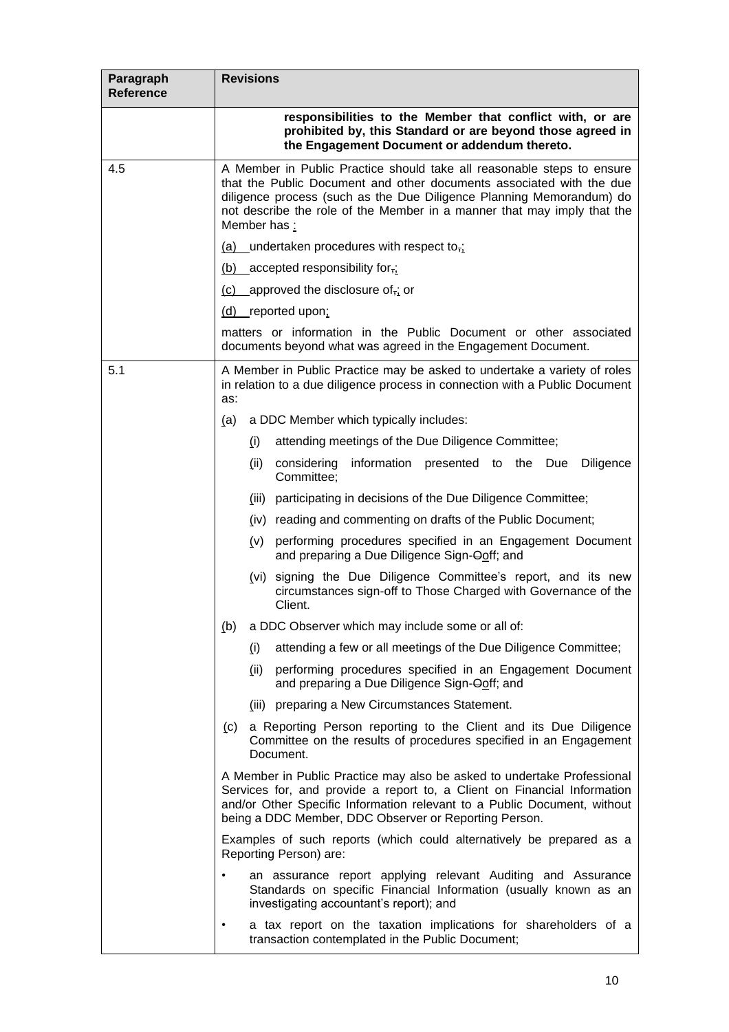| Paragraph<br><b>Reference</b> | <b>Revisions</b>                                                                                                                                                                                                                                                                                                 |
|-------------------------------|------------------------------------------------------------------------------------------------------------------------------------------------------------------------------------------------------------------------------------------------------------------------------------------------------------------|
|                               | responsibilities to the Member that conflict with, or are<br>prohibited by, this Standard or are beyond those agreed in<br>the Engagement Document or addendum thereto.                                                                                                                                          |
| 4.5                           | A Member in Public Practice should take all reasonable steps to ensure<br>that the Public Document and other documents associated with the due<br>diligence process (such as the Due Diligence Planning Memorandum) do<br>not describe the role of the Member in a manner that may imply that the<br>Member has: |
|                               | $(a)$ undertaken procedures with respect to <sub>ri</sub>                                                                                                                                                                                                                                                        |
|                               | $(b)$ accepted responsibility for <sub>7</sub> :                                                                                                                                                                                                                                                                 |
|                               | $(c)$ approved the disclosure of <sub>.</sub> ; or                                                                                                                                                                                                                                                               |
|                               | (d) reported upon;                                                                                                                                                                                                                                                                                               |
|                               | matters or information in the Public Document or other associated<br>documents beyond what was agreed in the Engagement Document.                                                                                                                                                                                |
| 5.1                           | A Member in Public Practice may be asked to undertake a variety of roles<br>in relation to a due diligence process in connection with a Public Document<br>as:                                                                                                                                                   |
|                               | a DDC Member which typically includes:<br>(a)                                                                                                                                                                                                                                                                    |
|                               | (i)<br>attending meetings of the Due Diligence Committee;                                                                                                                                                                                                                                                        |
|                               | information presented to the Due<br>Diligence<br>(ii)<br>considering<br>Committee;                                                                                                                                                                                                                               |
|                               | participating in decisions of the Due Diligence Committee;<br>(iii)                                                                                                                                                                                                                                              |
|                               | (iv) reading and commenting on drafts of the Public Document;                                                                                                                                                                                                                                                    |
|                               | performing procedures specified in an Engagement Document<br>(v)<br>and preparing a Due Diligence Sign-Ooff; and                                                                                                                                                                                                 |
|                               | (vi) signing the Due Diligence Committee's report, and its new<br>circumstances sign-off to Those Charged with Governance of the<br>Client.                                                                                                                                                                      |
|                               | a DDC Observer which may include some or all of:<br>(b)                                                                                                                                                                                                                                                          |
|                               | attending a few or all meetings of the Due Diligence Committee;<br>(i)                                                                                                                                                                                                                                           |
|                               | performing procedures specified in an Engagement Document<br>(ii)<br>and preparing a Due Diligence Sign-Ooff; and                                                                                                                                                                                                |
|                               | preparing a New Circumstances Statement.<br>(iii)                                                                                                                                                                                                                                                                |
|                               | (c) a Reporting Person reporting to the Client and its Due Diligence<br>Committee on the results of procedures specified in an Engagement<br>Document.                                                                                                                                                           |
|                               | A Member in Public Practice may also be asked to undertake Professional<br>Services for, and provide a report to, a Client on Financial Information<br>and/or Other Specific Information relevant to a Public Document, without<br>being a DDC Member, DDC Observer or Reporting Person.                         |
|                               | Examples of such reports (which could alternatively be prepared as a<br>Reporting Person) are:                                                                                                                                                                                                                   |
|                               | an assurance report applying relevant Auditing and Assurance<br>٠<br>Standards on specific Financial Information (usually known as an<br>investigating accountant's report); and                                                                                                                                 |
|                               | a tax report on the taxation implications for shareholders of a<br>٠<br>transaction contemplated in the Public Document;                                                                                                                                                                                         |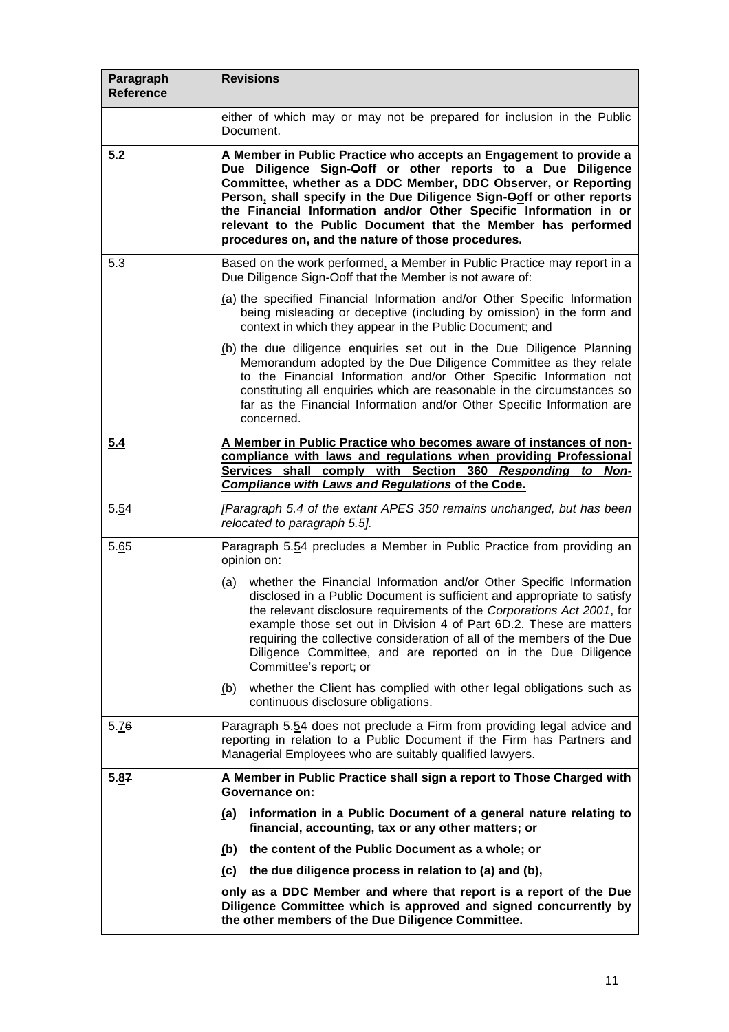| Paragraph<br><b>Reference</b> | <b>Revisions</b>                                                                                                                                                                                                                                                                                                                                                                                                                                                             |
|-------------------------------|------------------------------------------------------------------------------------------------------------------------------------------------------------------------------------------------------------------------------------------------------------------------------------------------------------------------------------------------------------------------------------------------------------------------------------------------------------------------------|
|                               | either of which may or may not be prepared for inclusion in the Public<br>Document.                                                                                                                                                                                                                                                                                                                                                                                          |
| 5.2                           | A Member in Public Practice who accepts an Engagement to provide a<br>Due Diligence Sign-Ooff or other reports to a Due Diligence<br>Committee, whether as a DDC Member, DDC Observer, or Reporting<br>Person, shall specify in the Due Diligence Sign-Ooff or other reports<br>the Financial Information and/or Other Specific Information in or<br>relevant to the Public Document that the Member has performed<br>procedures on, and the nature of those procedures.     |
| 5.3                           | Based on the work performed, a Member in Public Practice may report in a<br>Due Diligence Sign-Ooff that the Member is not aware of:                                                                                                                                                                                                                                                                                                                                         |
|                               | (a) the specified Financial Information and/or Other Specific Information<br>being misleading or deceptive (including by omission) in the form and<br>context in which they appear in the Public Document; and                                                                                                                                                                                                                                                               |
|                               | (b) the due diligence enquiries set out in the Due Diligence Planning<br>Memorandum adopted by the Due Diligence Committee as they relate<br>to the Financial Information and/or Other Specific Information not<br>constituting all enquiries which are reasonable in the circumstances so<br>far as the Financial Information and/or Other Specific Information are<br>concerned.                                                                                           |
| 5.4                           | A Member in Public Practice who becomes aware of instances of non-<br>compliance with laws and regulations when providing Professional<br>Services shall comply with Section 360 Responding to Non-<br><b>Compliance with Laws and Regulations of the Code.</b>                                                                                                                                                                                                              |
| 5.54                          | [Paragraph 5.4 of the extant APES 350 remains unchanged, but has been<br>relocated to paragraph 5.5].                                                                                                                                                                                                                                                                                                                                                                        |
| 5.65                          | Paragraph 5.54 precludes a Member in Public Practice from providing an<br>opinion on:                                                                                                                                                                                                                                                                                                                                                                                        |
|                               | whether the Financial Information and/or Other Specific Information<br>(a)<br>disclosed in a Public Document is sufficient and appropriate to satisfy<br>the relevant disclosure requirements of the Corporations Act 2001, for<br>example those set out in Division 4 of Part 6D.2. These are matters<br>requiring the collective consideration of all of the members of the Due<br>Diligence Committee, and are reported on in the Due Diligence<br>Committee's report; or |
|                               | whether the Client has complied with other legal obligations such as<br>(b)<br>continuous disclosure obligations.                                                                                                                                                                                                                                                                                                                                                            |
| 5.76                          | Paragraph 5.54 does not preclude a Firm from providing legal advice and<br>reporting in relation to a Public Document if the Firm has Partners and<br>Managerial Employees who are suitably qualified lawyers.                                                                                                                                                                                                                                                               |
| 5.87                          | A Member in Public Practice shall sign a report to Those Charged with<br>Governance on:                                                                                                                                                                                                                                                                                                                                                                                      |
|                               | information in a Public Document of a general nature relating to<br>(a)<br>financial, accounting, tax or any other matters; or                                                                                                                                                                                                                                                                                                                                               |
|                               | the content of the Public Document as a whole; or<br>(b)                                                                                                                                                                                                                                                                                                                                                                                                                     |
|                               | the due diligence process in relation to (a) and (b),<br>(c)                                                                                                                                                                                                                                                                                                                                                                                                                 |
|                               | only as a DDC Member and where that report is a report of the Due<br>Diligence Committee which is approved and signed concurrently by<br>the other members of the Due Diligence Committee.                                                                                                                                                                                                                                                                                   |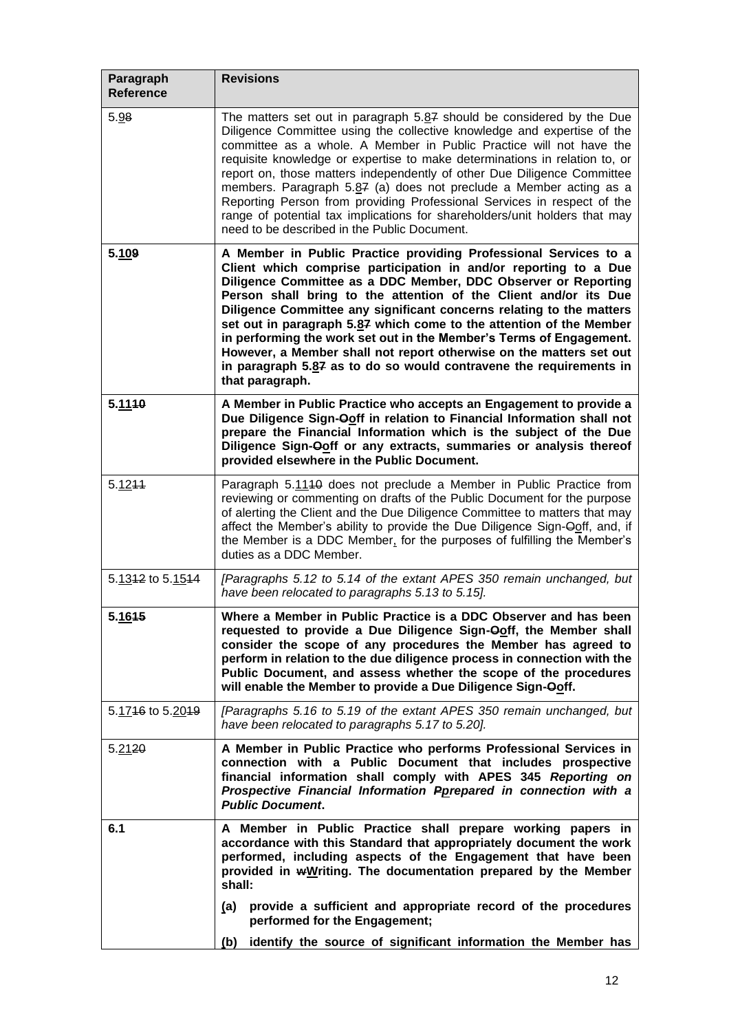| Paragraph<br><b>Reference</b> | <b>Revisions</b>                                                                                                                                                                                                                                                                                                                                                                                                                                                                                                                                                                                                                                                   |
|-------------------------------|--------------------------------------------------------------------------------------------------------------------------------------------------------------------------------------------------------------------------------------------------------------------------------------------------------------------------------------------------------------------------------------------------------------------------------------------------------------------------------------------------------------------------------------------------------------------------------------------------------------------------------------------------------------------|
| 5.98                          | The matters set out in paragraph $5.87$ should be considered by the Due<br>Diligence Committee using the collective knowledge and expertise of the<br>committee as a whole. A Member in Public Practice will not have the<br>requisite knowledge or expertise to make determinations in relation to, or<br>report on, those matters independently of other Due Diligence Committee<br>members. Paragraph 5.87 (a) does not preclude a Member acting as a<br>Reporting Person from providing Professional Services in respect of the<br>range of potential tax implications for shareholders/unit holders that may<br>need to be described in the Public Document.  |
| 5.109                         | A Member in Public Practice providing Professional Services to a<br>Client which comprise participation in and/or reporting to a Due<br>Diligence Committee as a DDC Member, DDC Observer or Reporting<br>Person shall bring to the attention of the Client and/or its Due<br>Diligence Committee any significant concerns relating to the matters<br>set out in paragraph 5.87 which come to the attention of the Member<br>in performing the work set out in the Member's Terms of Engagement.<br>However, a Member shall not report otherwise on the matters set out<br>in paragraph $5.87$ as to do so would contravene the requirements in<br>that paragraph. |
| 5.1110                        | A Member in Public Practice who accepts an Engagement to provide a<br>Due Diligence Sign-Ooff in relation to Financial Information shall not<br>prepare the Financial Information which is the subject of the Due<br>Diligence Sign-Ooff or any extracts, summaries or analysis thereof<br>provided elsewhere in the Public Document.                                                                                                                                                                                                                                                                                                                              |
| 5.1244                        | Paragraph 5.1140 does not preclude a Member in Public Practice from<br>reviewing or commenting on drafts of the Public Document for the purpose<br>of alerting the Client and the Due Diligence Committee to matters that may<br>affect the Member's ability to provide the Due Diligence Sign-Ooff, and, if<br>the Member is a DDC Member, for the purposes of fulfilling the Member's<br>duties as a DDC Member.                                                                                                                                                                                                                                                 |
| 5.1342 to 5.1544              | [Paragraphs 5.12 to 5.14 of the extant APES 350 remain unchanged, but<br>have been relocated to paragraphs 5.13 to 5.15].                                                                                                                                                                                                                                                                                                                                                                                                                                                                                                                                          |
| 5. <u>1615</u>                | Where a Member in Public Practice is a DDC Observer and has been<br>requested to provide a Due Diligence Sign-Ooff, the Member shall<br>consider the scope of any procedures the Member has agreed to<br>perform in relation to the due diligence process in connection with the<br>Public Document, and assess whether the scope of the procedures<br>will enable the Member to provide a Due Diligence Sign-Ooff.                                                                                                                                                                                                                                                |
| 5.1716 to 5.2019              | [Paragraphs 5.16 to 5.19 of the extant APES 350 remain unchanged, but<br>have been relocated to paragraphs 5.17 to 5.20].                                                                                                                                                                                                                                                                                                                                                                                                                                                                                                                                          |
| 5.2120                        | A Member in Public Practice who performs Professional Services in<br>connection with a Public Document that includes prospective<br>financial information shall comply with APES 345 Reporting on<br>Prospective Financial Information Pprepared in connection with a<br><b>Public Document.</b>                                                                                                                                                                                                                                                                                                                                                                   |
| 6.1                           | A Member in Public Practice shall prepare working papers in<br>accordance with this Standard that appropriately document the work<br>performed, including aspects of the Engagement that have been<br>provided in wWriting. The documentation prepared by the Member<br>shall:                                                                                                                                                                                                                                                                                                                                                                                     |
|                               | provide a sufficient and appropriate record of the procedures<br>(a)<br>performed for the Engagement;                                                                                                                                                                                                                                                                                                                                                                                                                                                                                                                                                              |
|                               | identify the source of significant information the Member has<br>(b)                                                                                                                                                                                                                                                                                                                                                                                                                                                                                                                                                                                               |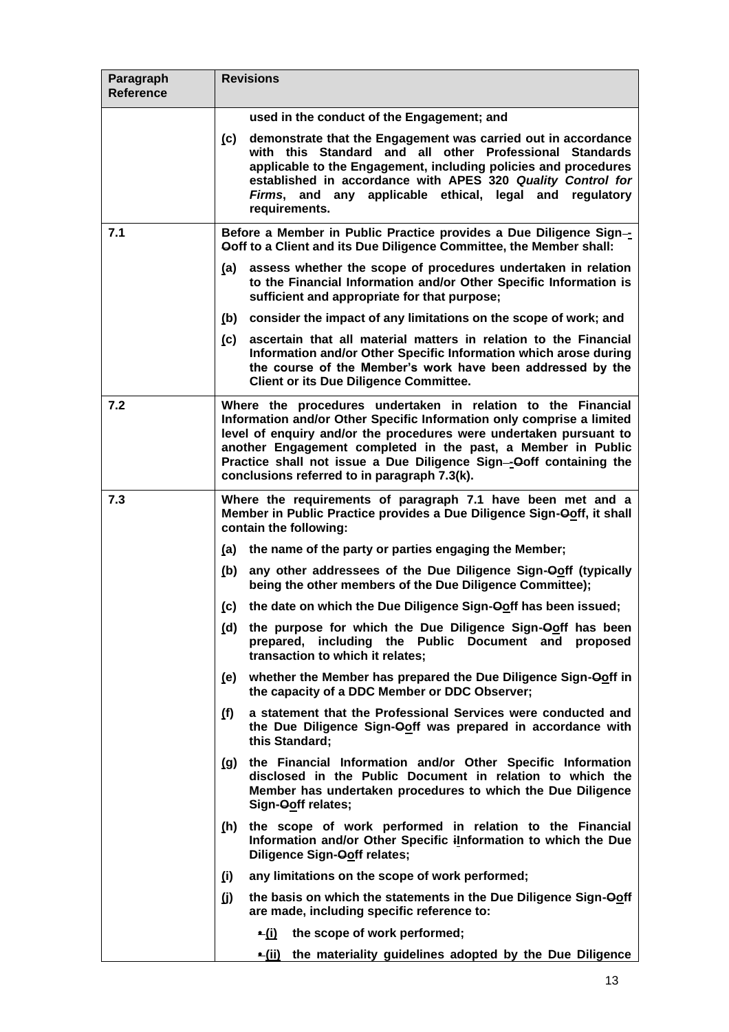| Paragraph<br><b>Reference</b> | <b>Revisions</b>                                                                                                                                                                                                                                                                                                                                                                                  |
|-------------------------------|---------------------------------------------------------------------------------------------------------------------------------------------------------------------------------------------------------------------------------------------------------------------------------------------------------------------------------------------------------------------------------------------------|
|                               | used in the conduct of the Engagement; and                                                                                                                                                                                                                                                                                                                                                        |
|                               | (c)<br>demonstrate that the Engagement was carried out in accordance<br>with this Standard and all other Professional Standards<br>applicable to the Engagement, including policies and procedures<br>established in accordance with APES 320 Quality Control for<br>Firms, and any applicable ethical, legal and regulatory<br>requirements.                                                     |
| 7.1                           | Before a Member in Public Practice provides a Due Diligence Sign--<br>Ooff to a Client and its Due Diligence Committee, the Member shall:                                                                                                                                                                                                                                                         |
|                               | assess whether the scope of procedures undertaken in relation<br>(a)<br>to the Financial Information and/or Other Specific Information is<br>sufficient and appropriate for that purpose;                                                                                                                                                                                                         |
|                               | consider the impact of any limitations on the scope of work; and<br>(b)                                                                                                                                                                                                                                                                                                                           |
|                               | ascertain that all material matters in relation to the Financial<br>(c)<br>Information and/or Other Specific Information which arose during<br>the course of the Member's work have been addressed by the<br><b>Client or its Due Diligence Committee.</b>                                                                                                                                        |
| 7.2                           | Where the procedures undertaken in relation to the Financial<br>Information and/or Other Specific Information only comprise a limited<br>level of enquiry and/or the procedures were undertaken pursuant to<br>another Engagement completed in the past, a Member in Public<br>Practice shall not issue a Due Diligence Sign--Ooff containing the<br>conclusions referred to in paragraph 7.3(k). |
| 7.3                           | Where the requirements of paragraph 7.1 have been met and a<br>Member in Public Practice provides a Due Diligence Sign-Ooff, it shall<br>contain the following:                                                                                                                                                                                                                                   |
|                               | the name of the party or parties engaging the Member;<br>(a)                                                                                                                                                                                                                                                                                                                                      |
|                               | any other addressees of the Due Diligence Sign-Ooff (typically<br>(b)<br>being the other members of the Due Diligence Committee);                                                                                                                                                                                                                                                                 |
|                               | the date on which the Due Diligence Sign-Ooff has been issued;<br>(c)                                                                                                                                                                                                                                                                                                                             |
|                               | the purpose for which the Due Diligence Sign-Ooff has been<br>(d)<br>prepared, including the Public Document and proposed<br>transaction to which it relates;                                                                                                                                                                                                                                     |
|                               | (e) whether the Member has prepared the Due Diligence Sign-Ooff in<br>the capacity of a DDC Member or DDC Observer;                                                                                                                                                                                                                                                                               |
|                               | a statement that the Professional Services were conducted and<br>(f)<br>the Due Diligence Sign-Ooff was prepared in accordance with<br>this Standard;                                                                                                                                                                                                                                             |
|                               | the Financial Information and/or Other Specific Information<br>(g)<br>disclosed in the Public Document in relation to which the<br>Member has undertaken procedures to which the Due Diligence<br>Sign-Ooff relates;                                                                                                                                                                              |
|                               | the scope of work performed in relation to the Financial<br>(h)<br>Information and/or Other Specific information to which the Due<br><b>Diligence Sign-Ooff relates;</b>                                                                                                                                                                                                                          |
|                               | (i)<br>any limitations on the scope of work performed;                                                                                                                                                                                                                                                                                                                                            |
|                               | (i)<br>the basis on which the statements in the Due Diligence Sign-Ooff<br>are made, including specific reference to:                                                                                                                                                                                                                                                                             |
|                               | $-(i)$<br>the scope of work performed;                                                                                                                                                                                                                                                                                                                                                            |
|                               | the materiality guidelines adopted by the Due Diligence<br>$\div$ (ii)                                                                                                                                                                                                                                                                                                                            |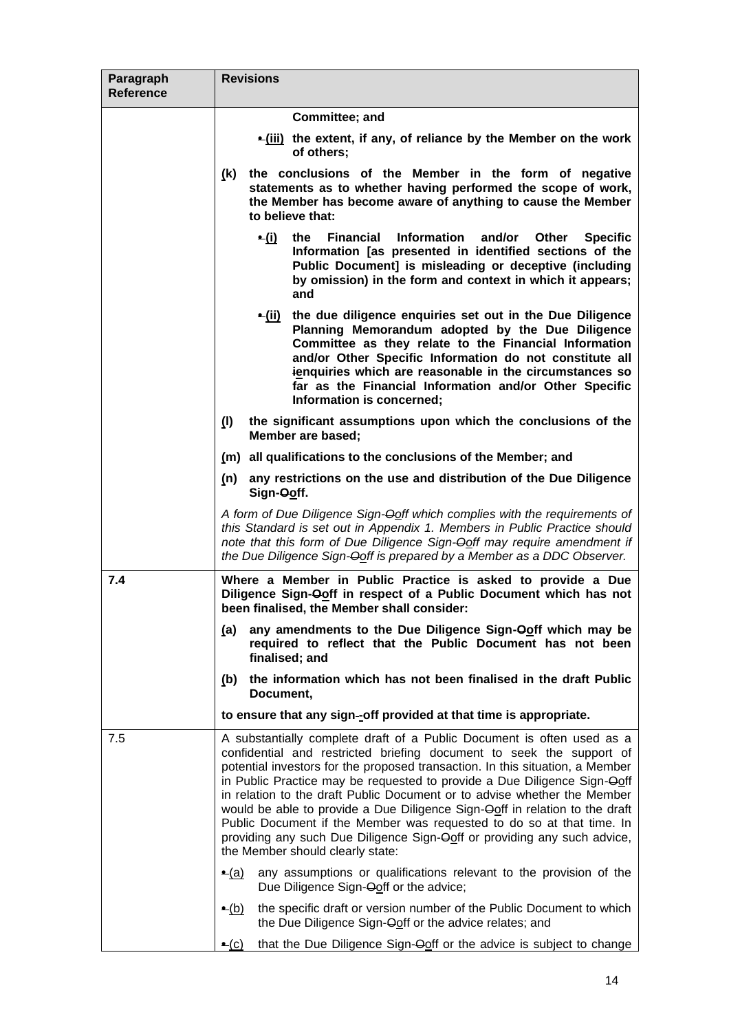| Paragraph<br><b>Reference</b> | <b>Revisions</b>                                                                                                                                                                                                                                                                                                                                                                                                                                                                                                                                                                                                                                                |
|-------------------------------|-----------------------------------------------------------------------------------------------------------------------------------------------------------------------------------------------------------------------------------------------------------------------------------------------------------------------------------------------------------------------------------------------------------------------------------------------------------------------------------------------------------------------------------------------------------------------------------------------------------------------------------------------------------------|
|                               | Committee; and                                                                                                                                                                                                                                                                                                                                                                                                                                                                                                                                                                                                                                                  |
|                               | <del>•</del> (iii) the extent, if any, of reliance by the Member on the work<br>of others;                                                                                                                                                                                                                                                                                                                                                                                                                                                                                                                                                                      |
|                               | the conclusions of the Member in the form of negative<br>(k)<br>statements as to whether having performed the scope of work,<br>the Member has become aware of anything to cause the Member<br>to believe that:                                                                                                                                                                                                                                                                                                                                                                                                                                                 |
|                               | <b>Financial Information</b><br>and/or<br>Other<br><b>Specific</b><br>$-i$<br>the<br>Information [as presented in identified sections of the<br>Public Document] is misleading or deceptive (including<br>by omission) in the form and context in which it appears;<br>and                                                                                                                                                                                                                                                                                                                                                                                      |
|                               | the due diligence enquiries set out in the Due Diligence<br><u>• (ii)</u><br>Planning Memorandum adopted by the Due Diligence<br>Committee as they relate to the Financial Information<br>and/or Other Specific Information do not constitute all<br>ienquiries which are reasonable in the circumstances so<br>far as the Financial Information and/or Other Specific<br>Information is concerned;                                                                                                                                                                                                                                                             |
|                               | (1)<br>the significant assumptions upon which the conclusions of the<br>Member are based;                                                                                                                                                                                                                                                                                                                                                                                                                                                                                                                                                                       |
|                               | (m) all qualifications to the conclusions of the Member; and                                                                                                                                                                                                                                                                                                                                                                                                                                                                                                                                                                                                    |
|                               | (n)<br>any restrictions on the use and distribution of the Due Diligence<br>Sign-Ooff.                                                                                                                                                                                                                                                                                                                                                                                                                                                                                                                                                                          |
|                               | A form of Due Diligence Sign-Ooff which complies with the requirements of<br>this Standard is set out in Appendix 1. Members in Public Practice should<br>note that this form of Due Diligence Sign-Ooff may require amendment if<br>the Due Diligence Sign-Ooff is prepared by a Member as a DDC Observer.                                                                                                                                                                                                                                                                                                                                                     |
| 7.4                           | Where a Member in Public Practice is asked to provide a Due<br>Diligence Sign-Ooff in respect of a Public Document which has not<br>been finalised, the Member shall consider:                                                                                                                                                                                                                                                                                                                                                                                                                                                                                  |
|                               | any amendments to the Due Diligence Sign-Ooff which may be<br>(a)<br>required to reflect that the Public Document has not been<br>finalised; and                                                                                                                                                                                                                                                                                                                                                                                                                                                                                                                |
|                               | the information which has not been finalised in the draft Public<br>(b)<br>Document,                                                                                                                                                                                                                                                                                                                                                                                                                                                                                                                                                                            |
|                               | to ensure that any sign-off provided at that time is appropriate.                                                                                                                                                                                                                                                                                                                                                                                                                                                                                                                                                                                               |
| 7.5                           | A substantially complete draft of a Public Document is often used as a<br>confidential and restricted briefing document to seek the support of<br>potential investors for the proposed transaction. In this situation, a Member<br>in Public Practice may be requested to provide a Due Diligence Sign-Ooff<br>in relation to the draft Public Document or to advise whether the Member<br>would be able to provide a Due Diligence Sign-Ooff in relation to the draft<br>Public Document if the Member was requested to do so at that time. In<br>providing any such Due Diligence Sign-Ooff or providing any such advice,<br>the Member should clearly state: |
|                               | any assumptions or qualifications relevant to the provision of the<br><b>⊷</b> (a)<br>Due Diligence Sign-Ooff or the advice;                                                                                                                                                                                                                                                                                                                                                                                                                                                                                                                                    |
|                               | the specific draft or version number of the Public Document to which<br>$\bullet$ (b)<br>the Due Diligence Sign-Ooff or the advice relates; and                                                                                                                                                                                                                                                                                                                                                                                                                                                                                                                 |
|                               | $\blacktriangle$ (c)<br>that the Due Diligence Sign-Ooff or the advice is subject to change                                                                                                                                                                                                                                                                                                                                                                                                                                                                                                                                                                     |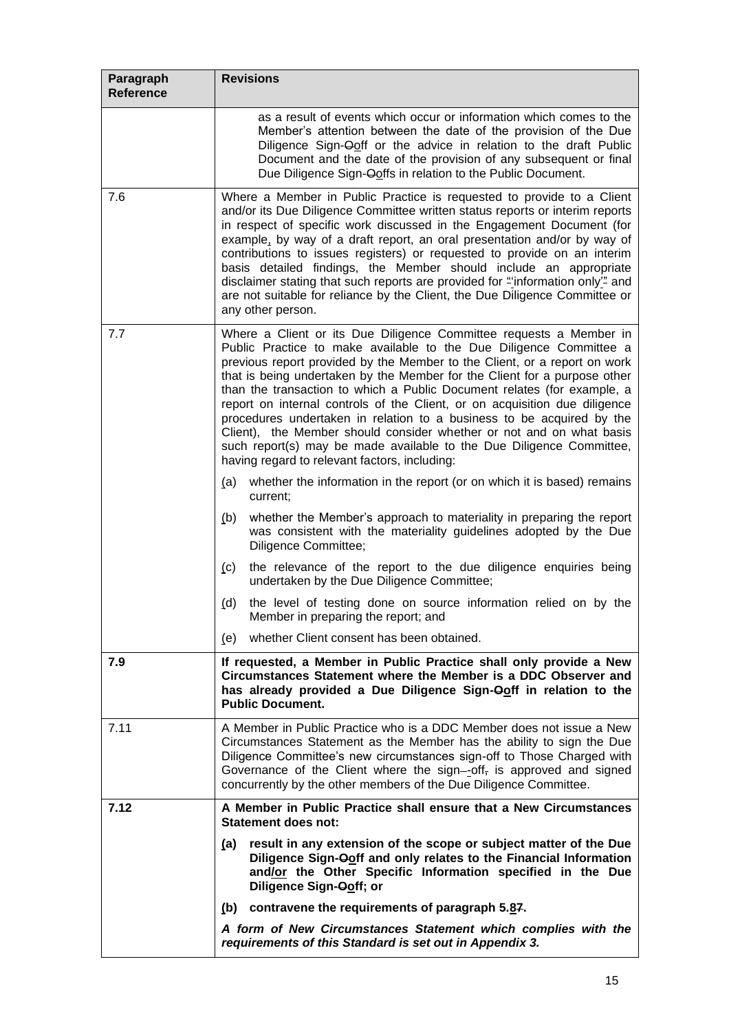| Paragraph<br><b>Reference</b> | <b>Revisions</b>                                                                                                                                                                                                                                                                                                                                                                                                                                                                                                                                                                                                                                                                                                                      |
|-------------------------------|---------------------------------------------------------------------------------------------------------------------------------------------------------------------------------------------------------------------------------------------------------------------------------------------------------------------------------------------------------------------------------------------------------------------------------------------------------------------------------------------------------------------------------------------------------------------------------------------------------------------------------------------------------------------------------------------------------------------------------------|
|                               | as a result of events which occur or information which comes to the<br>Member's attention between the date of the provision of the Due<br>Diligence Sign-Ooff or the advice in relation to the draft Public<br>Document and the date of the provision of any subsequent or final<br>Due Diligence Sign-Ooffs in relation to the Public Document.                                                                                                                                                                                                                                                                                                                                                                                      |
| 7.6                           | Where a Member in Public Practice is requested to provide to a Client<br>and/or its Due Diligence Committee written status reports or interim reports<br>in respect of specific work discussed in the Engagement Document (for<br>example, by way of a draft report, an oral presentation and/or by way of<br>contributions to issues registers) or requested to provide on an interim<br>basis detailed findings, the Member should include an appropriate<br>disclaimer stating that such reports are provided for "information only" and<br>are not suitable for reliance by the Client, the Due Diligence Committee or<br>any other person.                                                                                       |
| 7.7                           | Where a Client or its Due Diligence Committee requests a Member in<br>Public Practice to make available to the Due Diligence Committee a<br>previous report provided by the Member to the Client, or a report on work<br>that is being undertaken by the Member for the Client for a purpose other<br>than the transaction to which a Public Document relates (for example, a<br>report on internal controls of the Client, or on acquisition due diligence<br>procedures undertaken in relation to a business to be acquired by the<br>Client), the Member should consider whether or not and on what basis<br>such report(s) may be made available to the Due Diligence Committee,<br>having regard to relevant factors, including: |
|                               | whether the information in the report (or on which it is based) remains<br>(a)<br>current;                                                                                                                                                                                                                                                                                                                                                                                                                                                                                                                                                                                                                                            |
|                               | whether the Member's approach to materiality in preparing the report<br>(b)<br>was consistent with the materiality guidelines adopted by the Due<br>Diligence Committee;                                                                                                                                                                                                                                                                                                                                                                                                                                                                                                                                                              |
|                               | the relevance of the report to the due diligence enquiries being<br>(c)<br>undertaken by the Due Diligence Committee;                                                                                                                                                                                                                                                                                                                                                                                                                                                                                                                                                                                                                 |
|                               | the level of testing done on source information relied on by the<br>(d)<br>Member in preparing the report; and                                                                                                                                                                                                                                                                                                                                                                                                                                                                                                                                                                                                                        |
|                               | whether Client consent has been obtained.<br>(e)                                                                                                                                                                                                                                                                                                                                                                                                                                                                                                                                                                                                                                                                                      |
| 7.9                           | If requested, a Member in Public Practice shall only provide a New<br>Circumstances Statement where the Member is a DDC Observer and<br>has already provided a Due Diligence Sign-Ooff in relation to the<br><b>Public Document.</b>                                                                                                                                                                                                                                                                                                                                                                                                                                                                                                  |
| 7.11                          | A Member in Public Practice who is a DDC Member does not issue a New<br>Circumstances Statement as the Member has the ability to sign the Due<br>Diligence Committee's new circumstances sign-off to Those Charged with<br>Governance of the Client where the sign--off, is approved and signed<br>concurrently by the other members of the Due Diligence Committee.                                                                                                                                                                                                                                                                                                                                                                  |
| 7.12                          | A Member in Public Practice shall ensure that a New Circumstances<br><b>Statement does not:</b>                                                                                                                                                                                                                                                                                                                                                                                                                                                                                                                                                                                                                                       |
|                               | result in any extension of the scope or subject matter of the Due<br>(a)<br>Diligence Sign-Ooff and only relates to the Financial Information<br>and/or the Other Specific Information specified in the Due<br>Diligence Sign-Ooff; or                                                                                                                                                                                                                                                                                                                                                                                                                                                                                                |
|                               | contravene the requirements of paragraph 5.87.<br>(b)                                                                                                                                                                                                                                                                                                                                                                                                                                                                                                                                                                                                                                                                                 |
|                               | A form of New Circumstances Statement which complies with the<br>requirements of this Standard is set out in Appendix 3.                                                                                                                                                                                                                                                                                                                                                                                                                                                                                                                                                                                                              |